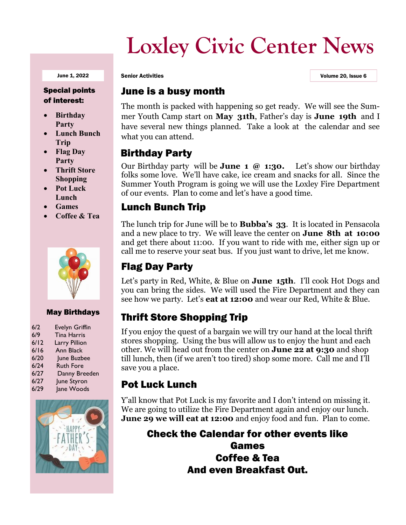## **Loxley Civic Center News**

#### Special points of interest:

- **Birthday Party**
- **Lunch Bunch Trip**
- **Flag Day Party**
- **Thrift Store Shopping**
- **Pot Luck Lunch**
- **Games**
- **Coffee & Tea**



#### May Birthdays

| 6/2  | <b>Evelyn Griffin</b> |
|------|-----------------------|
| 6/9  | <b>Tina Harris</b>    |
| 6/12 | Larry Pillion         |
| 6/16 | Ann Black             |
| 6/20 | June Buzbee           |
| 6/24 | <b>Ruth Fore</b>      |
| 6/27 | Danny Breeden         |
| 6/27 | June Styron           |
| 6/29 | Jane Woods            |



June 1, 2022 Senior Activities Volume 20, Issue 6

#### June is a busy month

The month is packed with happening so get ready. We will see the Summer Youth Camp start on **May 31th**, Father's day is **June 19th** and I have several new things planned. Take a look at the calendar and see what you can attend.

#### Birthday Party

Our Birthday party will be **June 1 @ 1:30.** Let's show our birthday folks some love. We'll have cake, ice cream and snacks for all. Since the Summer Youth Program is going we will use the Loxley Fire Department of our events. Plan to come and let's have a good time.

#### Lunch Bunch Trip

The lunch trip for June will be to **Bubba's 33**. It is located in Pensacola and a new place to try. We will leave the center on **June 8th at 10:00**  and get there about 11:00. If you want to ride with me, either sign up or call me to reserve your seat bus. If you just want to drive, let me know.

## Flag Day Party

Let's party in Red, White, & Blue on **June 15th**. I'll cook Hot Dogs and you can bring the sides. We will used the Fire Department and they can see how we party. Let's **eat at 12:00** and wear our Red, White & Blue.

## Thrift Store Shopping Trip

If you enjoy the quest of a bargain we will try our hand at the local thrift stores shopping. Using the bus will allow us to enjoy the hunt and each other. We will head out from the center on **June 22 at 9:30** and shop till lunch, then (if we aren't too tired) shop some more. Call me and I'll save you a place.

#### Pot Luck Lunch

Y'all know that Pot Luck is my favorite and I don't intend on missing it. We are going to utilize the Fire Department again and enjoy our lunch. **June 29 we will eat at 12:00** and enjoy food and fun. Plan to come.

Check the Calendar for other events like

Games Coffee & Tea And even Breakfast Out.